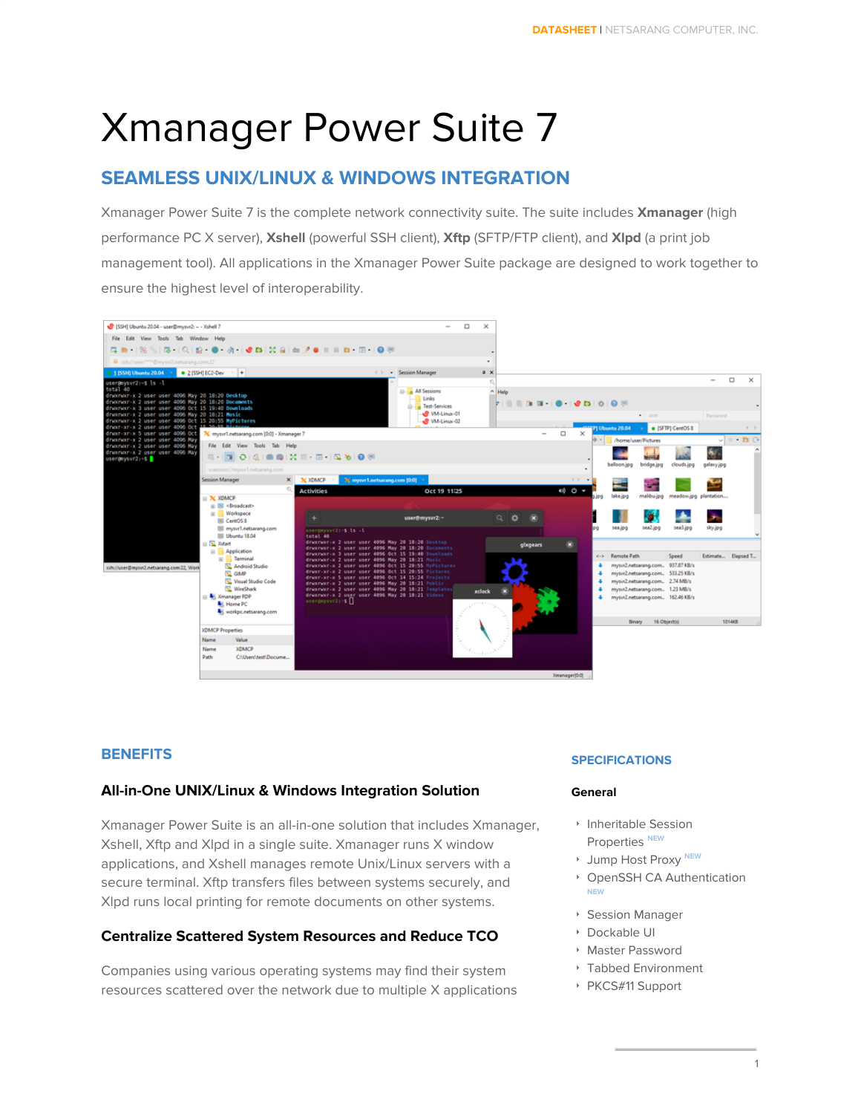# Xmanager Power Suite 7

## **SEAMLESS UNIX/LINUX & WINDOWS INTEGRATION**

Xmanager Power Suite 7 is the complete network connectivity suite. The suite includes **Xmanager** (high performance PC X server), **Xshell** (powerful SSH client), **Xftp** (SFTP/FTP client), and **Xlpd** (a print job management tool). All applications in the Xmanager Power Suite package are designed to work together to ensure the highest level of interoperability.



## **BENEFITS**

## **All-in-One UNIX/Linux & Windows Integration Solution**

Xmanager Power Suite is an all-in-one solution that includes Xmanager, Xshell, Xftp and Xlpd in a single suite. Xmanager runs X window applications, and Xshell manages remote Unix/Linux servers with a secure terminal. Xftp transfers files between systems securely, and Xlpd runs local printing for remote documents on other systems.

## **Centralize Scattered System Resources and Reduce TCO**

Companies using various operating systems may find their system resources scattered over the network due to multiple X applications

#### **SPECIFICATIONS**

#### **General**

- ‣ Inheritable Session **Properties** NEW
- ‣ Jump Host Proxy **NEW**
- ‣ OpenSSH CA Authentication **NEW**
- ‣ Session Manager
- ‣ Dockable UI
- ‣ Master Password
- ‣ Tabbed Environment
- ‣ PKCS#11 Support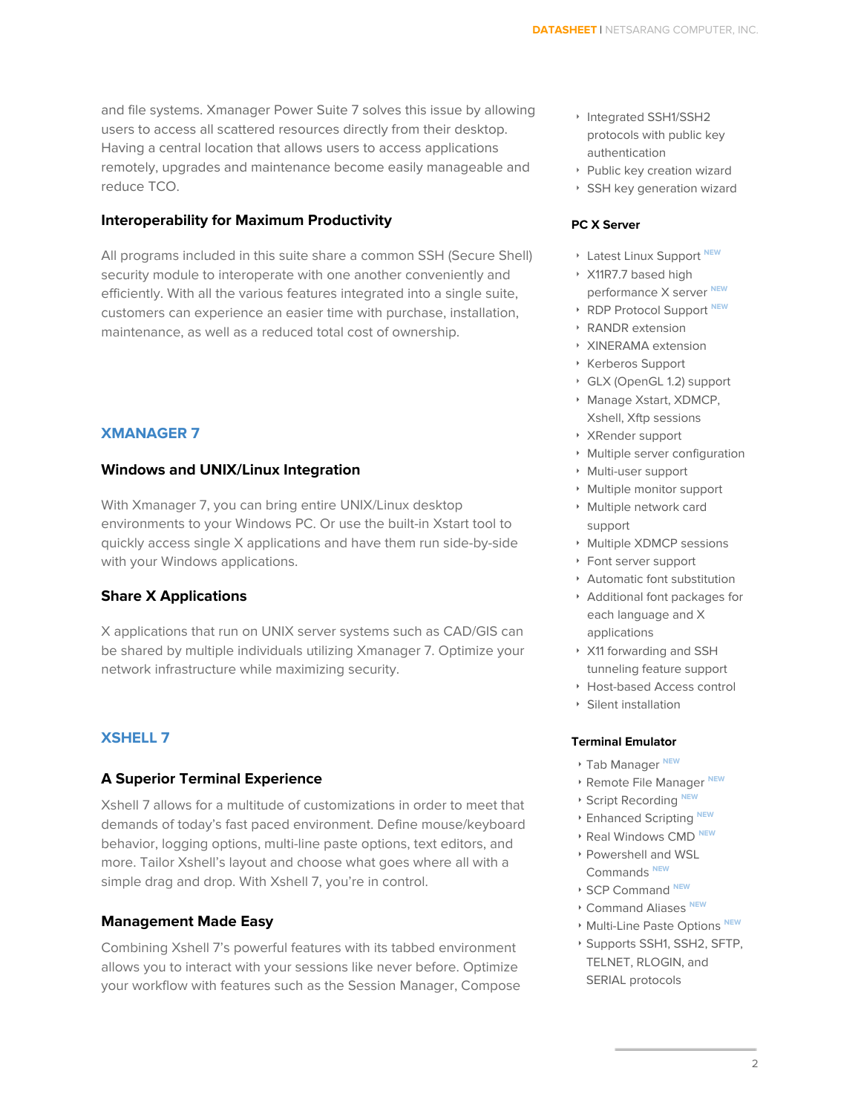and file systems. Xmanager Power Suite 7 solves this issue by allowing users to access all scattered resources directly from their desktop. Having a central location that allows users to access applications remotely, upgrades and maintenance become easily manageable and reduce TCO.

#### **Interoperability for Maximum Productivity**

All programs included in this suite share a common SSH (Secure Shell) security module to interoperate with one another conveniently and efficiently. With all the various features integrated into a single suite, customers can experience an easier time with purchase, installation, maintenance, as well as a reduced total cost of ownership.

#### **XMANAGER 7**

#### **Windows and UNIX/Linux Integration**

With Xmanager 7, you can bring entire UNIX/Linux desktop environments to your Windows PC. Or use the built-in Xstart tool to quickly access single X applications and have them run side-by-side with your Windows applications.

#### **Share X Applications**

X applications that run on UNIX server systems such as CAD/GIS can be shared by multiple individuals utilizing Xmanager 7. Optimize your network infrastructure while maximizing security.

## **XSHELL 7**

#### **A Superior Terminal Experience**

Xshell 7 allows for a multitude of customizations in order to meet that demands of today's fast paced environment. Define mouse/keyboard behavior, logging options, multi-line paste options, text editors, and more. Tailor Xshell's layout and choose what goes where all with a simple drag and drop. With Xshell 7, you're in control.

#### **Management Made Easy**

Combining Xshell 7's powerful features with its tabbed environment allows you to interact with your sessions like never before. Optimize your workflow with features such as the Session Manager, Compose

- ‣ Integrated SSH1/SSH2 protocols with public key authentication
- ‣ Public key creation wizard
- ‣ SSH key generation wizard

#### **PC X Server**

- ‣ Latest Linux Support **NEW**
- ‣ X11R7.7 based high performance X server **NEW**
- ‣ RDP Protocol Support **NEW**
- ‣ RANDR extension
- ‣ XINERAMA extension
- ‣ Kerberos Support
- ‣ GLX (OpenGL 1.2) support
- ‣ Manage Xstart, XDMCP, Xshell, Xftp sessions
- ‣ XRender support
- ‣ Multiple server configuration
- ‣ Multi-user support
- ‣ Multiple monitor support
- ‣ Multiple network card support
- ‣ Multiple XDMCP sessions
- ‣ Font server support
- ‣ Automatic font substitution
- ‣ Additional font packages for each language and X applications
- ‣ X11 forwarding and SSH tunneling feature support
- ‣ Host-based Access control
- ‣ Silent installation

#### **Terminal Emulator**

- ‣ Tab Manager **NEW**
- ‣ Remote File Manager **NEW**
- ‣ Script Recording **NEW**
- ‣ Enhanced Scripting **NEW**
- ‣ Real Windows CMD **NEW**
- ‣ Powershell and WSL Commands **NEW**
- ‣ SCP Command **NEW**
- ‣ Command Aliases **NEW**
- ‣ Multi-Line Paste Options **NEW**
- ‣ Supports SSH1, SSH2, SFTP, TELNET, RLOGIN, and SERIAL protocols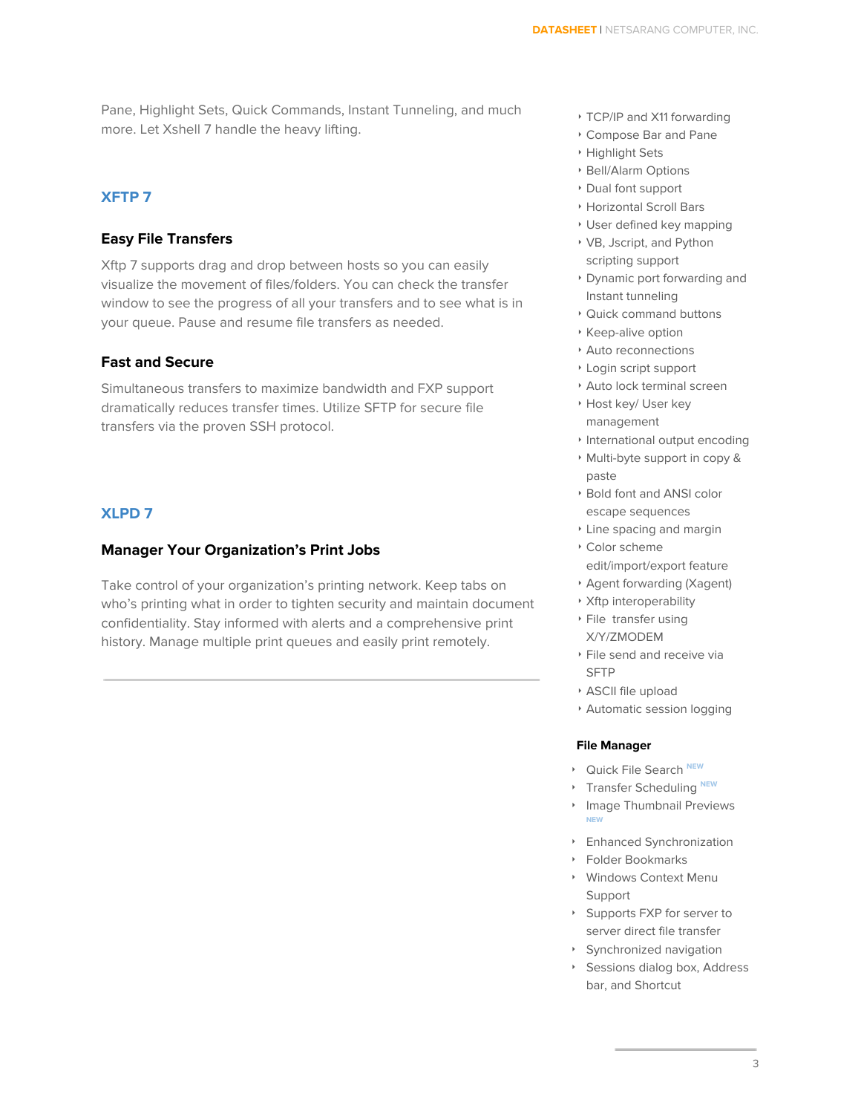Pane, Highlight Sets, Quick Commands, Instant Tunneling, and much more. Let Xshell 7 handle the heavy lifting.

#### **XFTP 7**

#### **Easy File Transfers**

Xftp 7 supports drag and drop between hosts so you can easily visualize the movement of files/folders. You can check the transfer window to see the progress of all your transfers and to see what is in your queue. Pause and resume file transfers as needed.

#### **Fast and Secure**

Simultaneous transfers to maximize bandwidth and FXP support dramatically reduces transfer times. Utilize SFTP for secure file transfers via the proven SSH protocol.

## **XLPD 7**

#### **Manager Your Organization's Print Jobs**

Take control of your organization's printing network. Keep tabs on who's printing what in order to tighten security and maintain document confidentiality. Stay informed with alerts and a comprehensive print history. Manage multiple print queues and easily print remotely.

- ‣ TCP/IP and X11 forwarding
- ‣ Compose Bar and Pane
- ‣ Highlight Sets
- ‣ Bell/Alarm Options
- ‣ Dual font support
- ‣ Horizontal Scroll Bars
- ‣ User defined key mapping
- ‣ VB, Jscript, and Python scripting support
- ‣ Dynamic port forwarding and Instant tunneling
- ‣ Quick command buttons
- ‣ Keep-alive option
- ‣ Auto reconnections
- ‣ Login script support
- ‣ Auto lock terminal screen
- ‣ Host key/ User key management
- ‣ International output encoding
- ‣ Multi-byte support in copy & paste
- ‣ Bold font and ANSI color escape sequences
- ‣ Line spacing and margin
- ‣ Color scheme edit/import/export feature
- ‣ Agent forwarding (Xagent)
- ‣ Xftp interoperability
- ‣ File transfer using X/Y/ZMODEM
- ‣ File send and receive via SFTP
- ‣ ASCII file upload
- ‣ Automatic session logging

#### **File Manager**

- ‣ Quick File Search **NEW**
- **EXECUTE:** Transfer Scheduling NEW
- ‣ Image Thumbnail Previews **NEW**
- ‣ Enhanced Synchronization
- ‣ Folder Bookmarks
- ‣ Windows Context Menu Support
- ‣ Supports FXP for server to server direct file transfer
- ‣ Synchronized navigation
- ‣ Sessions dialog box, Address bar, and Shortcut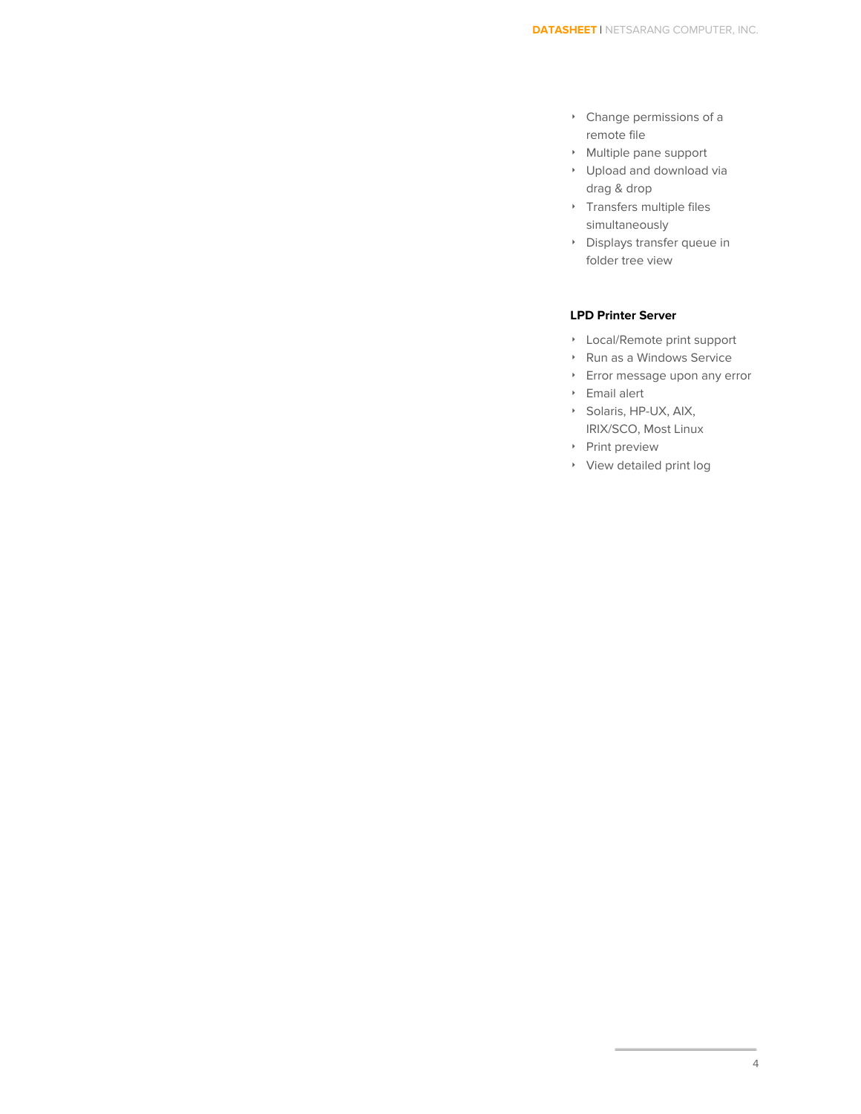- ‣ Change permissions of a remote file
- ‣ Multiple pane support
- ‣ Upload and download via drag & drop
- ‣ Transfers multiple files simultaneously
- ‣ Displays transfer queue in folder tree view

#### **LPD Printer Server**

- ‣ Local/Remote print support
- ‣ Run as a Windows Service
- ‣ Error message upon any error
- ‣ Email alert
- ‣ Solaris, HP-UX, AIX, IRIX/SCO, Most Linux
- ‣ Print preview
- ‣ View detailed print log